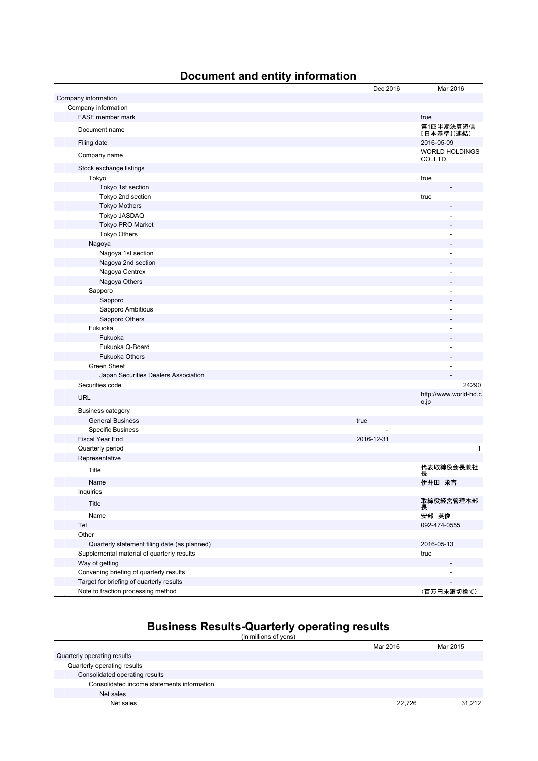## **Document and entity information**

|                                              | Dec 2016   | Mar 2016                          |
|----------------------------------------------|------------|-----------------------------------|
| Company information                          |            |                                   |
| Company information                          |            |                                   |
| FASF member mark                             |            | true                              |
| Document name                                |            | 第1四半期決算短信<br>〔日本基準〕(連結)           |
| Filing date                                  |            | 2016-05-09                        |
| Company name                                 |            | <b>WORLD HOLDINGS</b><br>CO.,LTD. |
| Stock exchange listings                      |            |                                   |
| Tokyo                                        |            | true                              |
| Tokyo 1st section                            |            |                                   |
| Tokyo 2nd section                            |            | true                              |
| <b>Tokyo Mothers</b>                         |            |                                   |
| Tokyo JASDAQ                                 |            | ÷                                 |
| Tokyo PRO Market                             |            |                                   |
| <b>Tokyo Others</b>                          |            |                                   |
| Nagoya                                       |            |                                   |
| Nagoya 1st section                           |            | ۰                                 |
| Nagoya 2nd section                           |            |                                   |
| Nagoya Centrex                               |            | ٠                                 |
| Nagoya Others                                |            |                                   |
| Sapporo                                      |            | ÷,                                |
| Sapporo                                      |            |                                   |
| Sapporo Ambitious                            |            |                                   |
| Sapporo Others                               |            |                                   |
| Fukuoka                                      |            |                                   |
| Fukuoka                                      |            |                                   |
| Fukuoka Q-Board                              |            |                                   |
| <b>Fukuoka Others</b>                        |            |                                   |
| <b>Green Sheet</b>                           |            | $\overline{a}$                    |
| Japan Securities Dealers Association         |            |                                   |
| Securities code                              |            | 24290                             |
| <b>URL</b>                                   |            | http://www.world-hd.c<br>o.jp     |
| <b>Business category</b>                     |            |                                   |
| <b>General Business</b>                      | true       |                                   |
| <b>Specific Business</b>                     |            |                                   |
| <b>Fiscal Year End</b>                       | 2016-12-31 |                                   |
| Quarterly period                             |            | 1                                 |
| Representative                               |            |                                   |
| Title                                        |            | 代表取締役会長兼社<br>長                    |
| Name                                         |            | 伊井田 栄吉                            |
| Inquiries                                    |            |                                   |
| Title                                        |            | 取締役経営管理本部<br>長                    |
| Name                                         |            | 安部 英俊                             |
| Tel                                          |            | 092-474-0555                      |
| Other                                        |            |                                   |
| Quarterly statement filing date (as planned) |            | 2016-05-13                        |
| Supplemental material of quarterly results   |            | true                              |
| Way of getting                               |            |                                   |
| Convening briefing of quarterly results      |            |                                   |
| Target for briefing of quarterly results     |            |                                   |
| Note to fraction processing method           |            | (百万円未満切捨て)                        |

# **Business Results-Quarterly operating results**

|  | (in millions of yens) |  |  |
|--|-----------------------|--|--|
|  |                       |  |  |
|  |                       |  |  |

|                                            | Mar 2016 | Mar 2015 |
|--------------------------------------------|----------|----------|
| Quarterly operating results                |          |          |
| Quarterly operating results                |          |          |
| Consolidated operating results             |          |          |
| Consolidated income statements information |          |          |
| Net sales                                  |          |          |
| Net sales                                  | 22.726   | 31.212   |
|                                            |          |          |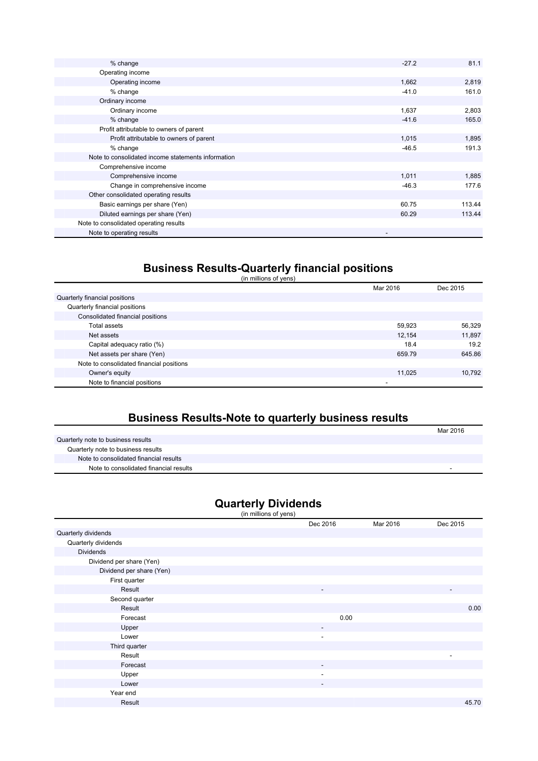| % change                                           | $-27.2$ | 81.1   |
|----------------------------------------------------|---------|--------|
| Operating income                                   |         |        |
| Operating income                                   | 1,662   | 2,819  |
| % change                                           | $-41.0$ | 161.0  |
| Ordinary income                                    |         |        |
| Ordinary income                                    | 1,637   | 2,803  |
| % change                                           | $-41.6$ | 165.0  |
| Profit attributable to owners of parent            |         |        |
| Profit attributable to owners of parent            | 1,015   | 1,895  |
| % change                                           | $-46.5$ | 191.3  |
| Note to consolidated income statements information |         |        |
| Comprehensive income                               |         |        |
| Comprehensive income                               | 1,011   | 1,885  |
| Change in comprehensive income                     | $-46.3$ | 177.6  |
| Other consolidated operating results               |         |        |
| Basic earnings per share (Yen)                     | 60.75   | 113.44 |
| Diluted earnings per share (Yen)                   | 60.29   | 113.44 |
| Note to consolidated operating results             |         |        |
| Note to operating results                          |         |        |

#### **Business Results-Quarterly financial positions**

|                                          | Mar 2016 | Dec 2015 |
|------------------------------------------|----------|----------|
| Quarterly financial positions            |          |          |
| Quarterly financial positions            |          |          |
| Consolidated financial positions         |          |          |
| Total assets                             | 59,923   | 56,329   |
| Net assets                               | 12.154   | 11,897   |
| Capital adequacy ratio (%)               | 18.4     | 19.2     |
| Net assets per share (Yen)               | 659.79   | 645.86   |
| Note to consolidated financial positions |          |          |
| Owner's equity                           | 11.025   | 10,792   |
| Note to financial positions              |          |          |

## **Business Results-Note to quarterly business results**

|                                        | Mar 2016 |
|----------------------------------------|----------|
| Quarterly note to business results     |          |
| Quarterly note to business results     |          |
| Note to consolidated financial results |          |
| Note to consolidated financial results |          |

#### **Quarterly Dividends**

|                          | (in millions of yens) |                          |          |          |
|--------------------------|-----------------------|--------------------------|----------|----------|
|                          |                       | Dec 2016                 | Mar 2016 | Dec 2015 |
| Quarterly dividends      |                       |                          |          |          |
| Quarterly dividends      |                       |                          |          |          |
| <b>Dividends</b>         |                       |                          |          |          |
| Dividend per share (Yen) |                       |                          |          |          |
| Dividend per share (Yen) |                       |                          |          |          |
| First quarter            |                       |                          |          |          |
| Result                   |                       | $\overline{\phantom{a}}$ |          | ٠        |
| Second quarter           |                       |                          |          |          |
| Result                   |                       |                          |          | 0.00     |
| Forecast                 |                       | 0.00                     |          |          |
| Upper                    |                       | ٠                        |          |          |
| Lower                    |                       | $\overline{\phantom{a}}$ |          |          |
| Third quarter            |                       |                          |          |          |
| Result                   |                       |                          |          | ٠        |
| Forecast                 |                       |                          |          |          |
| Upper                    |                       | $\overline{\phantom{a}}$ |          |          |
| Lower                    |                       | ۰.                       |          |          |
| Year end                 |                       |                          |          |          |
| Result                   |                       |                          |          | 45.70    |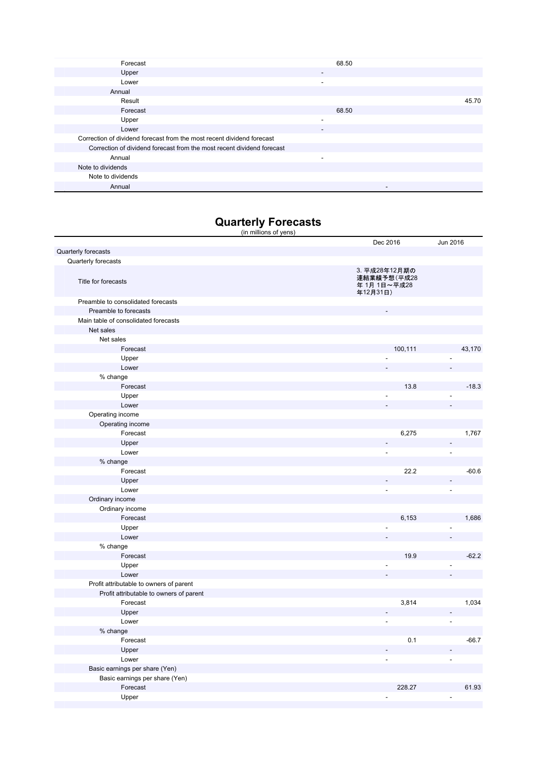| Forecast                                                               | 68.50                    |       |
|------------------------------------------------------------------------|--------------------------|-------|
| Upper                                                                  | $\overline{\phantom{a}}$ |       |
| Lower                                                                  | $\overline{\phantom{a}}$ |       |
| Annual                                                                 |                          |       |
| Result                                                                 |                          | 45.70 |
| Forecast                                                               | 68.50                    |       |
| Upper                                                                  | ۰.                       |       |
| Lower                                                                  | ٠                        |       |
| Correction of dividend forecast from the most recent dividend forecast |                          |       |
| Correction of dividend forecast from the most recent dividend forecast |                          |       |
| Annual                                                                 | ۰                        |       |
| Note to dividends                                                      |                          |       |
| Note to dividends                                                      |                          |       |
| Annual                                                                 |                          |       |

## **Quarterly Forecasts**

| (in millions of yens)                   |                                                          |                |
|-----------------------------------------|----------------------------------------------------------|----------------|
|                                         | Dec 2016                                                 | Jun 2016       |
| Quarterly forecasts                     |                                                          |                |
| Quarterly forecasts                     |                                                          |                |
| Title for forecasts                     | 3. 平成28年12月期の<br>連結業績予想(平成28<br>年 1月 1日~平成28<br>年12月31日) |                |
| Preamble to consolidated forecasts      |                                                          |                |
| Preamble to forecasts                   |                                                          |                |
| Main table of consolidated forecasts    |                                                          |                |
| Net sales                               |                                                          |                |
| Net sales                               |                                                          |                |
| Forecast                                | 100,111                                                  | 43,170         |
| Upper                                   |                                                          |                |
| Lower                                   |                                                          |                |
| % change                                |                                                          |                |
| Forecast                                | 13.8                                                     | $-18.3$        |
| Upper                                   |                                                          |                |
| Lower                                   |                                                          |                |
| Operating income                        |                                                          |                |
| Operating income                        |                                                          |                |
| Forecast                                | 6,275                                                    | 1,767          |
| Upper                                   |                                                          |                |
| Lower                                   |                                                          | L,             |
| % change                                |                                                          |                |
| Forecast                                | 22.2                                                     | $-60.6$        |
| Upper                                   |                                                          |                |
| Lower                                   | ÷,                                                       | L              |
| Ordinary income                         |                                                          |                |
| Ordinary income                         |                                                          |                |
| Forecast                                | 6,153                                                    | 1,686          |
| Upper                                   |                                                          | Ĭ.             |
| Lower                                   |                                                          |                |
| % change                                |                                                          |                |
| Forecast                                | 19.9                                                     | $-62.2$        |
| Upper                                   |                                                          |                |
| Lower                                   |                                                          |                |
| Profit attributable to owners of parent |                                                          |                |
| Profit attributable to owners of parent |                                                          |                |
| Forecast                                | 3,814                                                    | 1,034          |
| Upper                                   |                                                          |                |
| Lower                                   |                                                          | L.             |
| % change                                |                                                          |                |
| Forecast                                | 0.1                                                      | $-66.7$        |
| Upper                                   | $\blacksquare$                                           |                |
| Lower                                   | $\overline{\phantom{a}}$                                 | $\overline{a}$ |
| Basic earnings per share (Yen)          |                                                          |                |
| Basic earnings per share (Yen)          |                                                          |                |
| Forecast                                | 228.27                                                   | 61.93          |
| Upper                                   |                                                          | ÷,             |
|                                         |                                                          |                |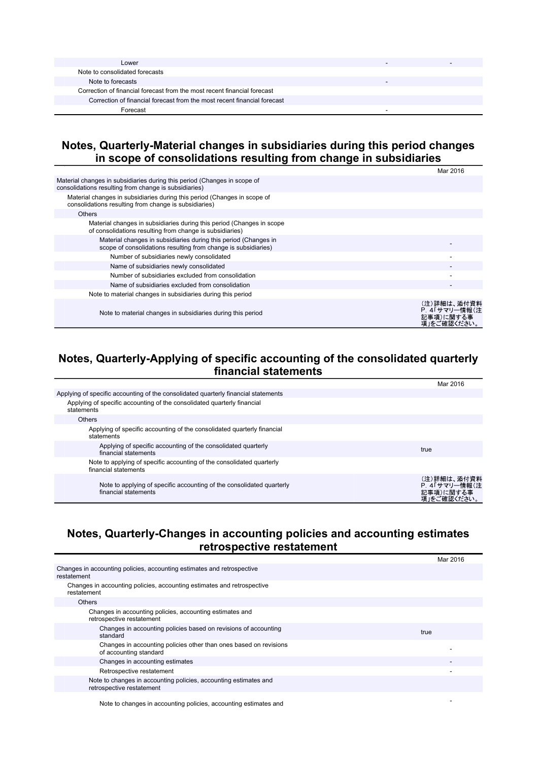| Lower                                                                    |  |
|--------------------------------------------------------------------------|--|
| Note to consolidated forecasts                                           |  |
| Note to forecasts                                                        |  |
| Correction of financial forecast from the most recent financial forecast |  |
| Correction of financial forecast from the most recent financial forecast |  |
| Forecast                                                                 |  |

#### **Notes, Quarterly-Material changes in subsidiaries during this period changes in scope of consolidations resulting from change in subsidiaries**

|                                                                                                                                   | Mar 2016                                                 |
|-----------------------------------------------------------------------------------------------------------------------------------|----------------------------------------------------------|
| Material changes in subsidiaries during this period (Changes in scope of<br>consolidations resulting from change is subsidiaries) |                                                          |
| Material changes in subsidiaries during this period (Changes in scope of<br>consolidations resulting from change is subsidiaries) |                                                          |
| <b>Others</b>                                                                                                                     |                                                          |
| Material changes in subsidiaries during this period (Changes in scope<br>of consolidations resulting from change is subsidiaries) |                                                          |
| Material changes in subsidiaries during this period (Changes in<br>scope of consolidations resulting from change is subsidiaries) |                                                          |
| Number of subsidiaries newly consolidated                                                                                         |                                                          |
| Name of subsidiaries newly consolidated                                                                                           |                                                          |
| Number of subsidiaries excluded from consolidation                                                                                |                                                          |
| Name of subsidiaries excluded from consolidation                                                                                  |                                                          |
| Note to material changes in subsidiaries during this period                                                                       |                                                          |
| Note to material changes in subsidiaries during this period                                                                       | (注)詳細は、添付資料<br>P. 4「サマリー情報(注<br>記事項)に関する事<br>項」をご確認ください。 |

### **Notes, Quarterly-Applying of specific accounting of the consolidated quarterly financial statements**

|                                                                                               | Mar 2016                                                 |
|-----------------------------------------------------------------------------------------------|----------------------------------------------------------|
| Applying of specific accounting of the consolidated guarterly financial statements            |                                                          |
| Applying of specific accounting of the consolidated quarterly financial<br>statements         |                                                          |
| <b>Others</b>                                                                                 |                                                          |
| Applying of specific accounting of the consolidated quarterly financial<br>statements         |                                                          |
| Applying of specific accounting of the consolidated quarterly<br>financial statements         | true                                                     |
| Note to applying of specific accounting of the consolidated quarterly<br>financial statements |                                                          |
| Note to applying of specific accounting of the consolidated quarterly<br>financial statements | (注)詳細は、添付資料<br>P. 4「サマリー情報(注<br>記事項)に関する事<br>項」をご確認ください。 |

### **Notes, Quarterly-Changes in accounting policies and accounting estimates retrospective restatement**

|                                                                                               | Mar 2016 |
|-----------------------------------------------------------------------------------------------|----------|
| Changes in accounting policies, accounting estimates and retrospective<br>restatement         |          |
| Changes in accounting policies, accounting estimates and retrospective<br>restatement         |          |
| <b>Others</b>                                                                                 |          |
| Changes in accounting policies, accounting estimates and<br>retrospective restatement         |          |
| Changes in accounting policies based on revisions of accounting<br>standard                   | true     |
| Changes in accounting policies other than ones based on revisions<br>of accounting standard   |          |
| Changes in accounting estimates                                                               | -        |
| Retrospective restatement                                                                     |          |
| Note to changes in accounting policies, accounting estimates and<br>retrospective restatement |          |
|                                                                                               |          |

Note to changes in accounting policies, accounting estimates and -